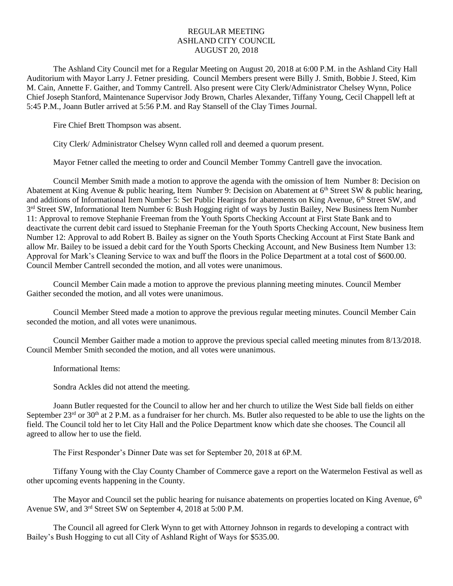## REGULAR MEETING ASHLAND CITY COUNCIL AUGUST 20, 2018

The Ashland City Council met for a Regular Meeting on August 20, 2018 at 6:00 P.M. in the Ashland City Hall Auditorium with Mayor Larry J. Fetner presiding. Council Members present were Billy J. Smith, Bobbie J. Steed, Kim M. Cain, Annette F. Gaither, and Tommy Cantrell. Also present were City Clerk/Administrator Chelsey Wynn, Police Chief Joseph Stanford, Maintenance Supervisor Jody Brown, Charles Alexander, Tiffany Young, Cecil Chappell left at 5:45 P.M., Joann Butler arrived at 5:56 P.M. and Ray Stansell of the Clay Times Journal.

Fire Chief Brett Thompson was absent.

City Clerk/ Administrator Chelsey Wynn called roll and deemed a quorum present.

Mayor Fetner called the meeting to order and Council Member Tommy Cantrell gave the invocation.

Council Member Smith made a motion to approve the agenda with the omission of Item Number 8: Decision on Abatement at King Avenue & public hearing, Item Number 9: Decision on Abatement at  $6<sup>th</sup>$  Street SW & public hearing, and additions of Informational Item Number 5: Set Public Hearings for abatements on King Avenue, 6<sup>th</sup> Street SW, and 3<sup>rd</sup> Street SW, Informational Item Number 6: Bush Hogging right of ways by Justin Bailey, New Business Item Number 11: Approval to remove Stephanie Freeman from the Youth Sports Checking Account at First State Bank and to deactivate the current debit card issued to Stephanie Freeman for the Youth Sports Checking Account, New business Item Number 12: Approval to add Robert B. Bailey as signer on the Youth Sports Checking Account at First State Bank and allow Mr. Bailey to be issued a debit card for the Youth Sports Checking Account, and New Business Item Number 13: Approval for Mark's Cleaning Service to wax and buff the floors in the Police Department at a total cost of \$600.00. Council Member Cantrell seconded the motion, and all votes were unanimous.

Council Member Cain made a motion to approve the previous planning meeting minutes. Council Member Gaither seconded the motion, and all votes were unanimous.

Council Member Steed made a motion to approve the previous regular meeting minutes. Council Member Cain seconded the motion, and all votes were unanimous.

Council Member Gaither made a motion to approve the previous special called meeting minutes from 8/13/2018. Council Member Smith seconded the motion, and all votes were unanimous.

Informational Items:

Sondra Ackles did not attend the meeting.

Joann Butler requested for the Council to allow her and her church to utilize the West Side ball fields on either September  $23^{rd}$  or  $30^{th}$  at  $2$  P.M. as a fundraiser for her church. Ms. Butler also requested to be able to use the lights on the field. The Council told her to let City Hall and the Police Department know which date she chooses. The Council all agreed to allow her to use the field.

The First Responder's Dinner Date was set for September 20, 2018 at 6P.M.

Tiffany Young with the Clay County Chamber of Commerce gave a report on the Watermelon Festival as well as other upcoming events happening in the County.

The Mayor and Council set the public hearing for nuisance abatements on properties located on King Avenue,  $6<sup>th</sup>$ Avenue SW, and 3rd Street SW on September 4, 2018 at 5:00 P.M.

The Council all agreed for Clerk Wynn to get with Attorney Johnson in regards to developing a contract with Bailey's Bush Hogging to cut all City of Ashland Right of Ways for \$535.00.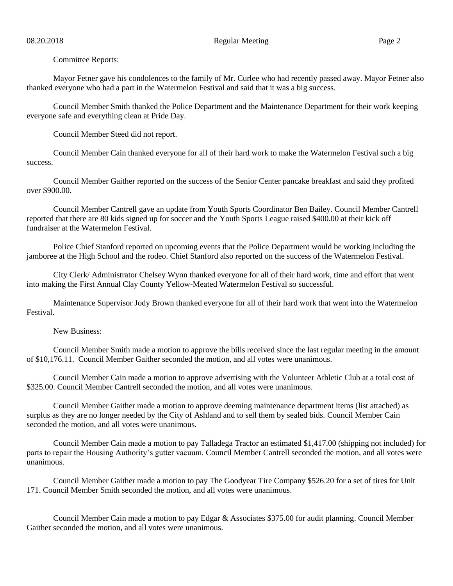Committee Reports:

Mayor Fetner gave his condolences to the family of Mr. Curlee who had recently passed away. Mayor Fetner also thanked everyone who had a part in the Watermelon Festival and said that it was a big success.

Council Member Smith thanked the Police Department and the Maintenance Department for their work keeping everyone safe and everything clean at Pride Day.

Council Member Steed did not report.

Council Member Cain thanked everyone for all of their hard work to make the Watermelon Festival such a big success.

Council Member Gaither reported on the success of the Senior Center pancake breakfast and said they profited over \$900.00.

Council Member Cantrell gave an update from Youth Sports Coordinator Ben Bailey. Council Member Cantrell reported that there are 80 kids signed up for soccer and the Youth Sports League raised \$400.00 at their kick off fundraiser at the Watermelon Festival.

Police Chief Stanford reported on upcoming events that the Police Department would be working including the jamboree at the High School and the rodeo. Chief Stanford also reported on the success of the Watermelon Festival.

City Clerk/ Administrator Chelsey Wynn thanked everyone for all of their hard work, time and effort that went into making the First Annual Clay County Yellow-Meated Watermelon Festival so successful.

Maintenance Supervisor Jody Brown thanked everyone for all of their hard work that went into the Watermelon Festival.

New Business:

Council Member Smith made a motion to approve the bills received since the last regular meeting in the amount of \$10,176.11. Council Member Gaither seconded the motion, and all votes were unanimous.

Council Member Cain made a motion to approve advertising with the Volunteer Athletic Club at a total cost of \$325.00. Council Member Cantrell seconded the motion, and all votes were unanimous.

Council Member Gaither made a motion to approve deeming maintenance department items (list attached) as surplus as they are no longer needed by the City of Ashland and to sell them by sealed bids. Council Member Cain seconded the motion, and all votes were unanimous.

Council Member Cain made a motion to pay Talladega Tractor an estimated \$1,417.00 (shipping not included) for parts to repair the Housing Authority's gutter vacuum. Council Member Cantrell seconded the motion, and all votes were unanimous.

Council Member Gaither made a motion to pay The Goodyear Tire Company \$526.20 for a set of tires for Unit 171. Council Member Smith seconded the motion, and all votes were unanimous.

Council Member Cain made a motion to pay Edgar & Associates \$375.00 for audit planning. Council Member Gaither seconded the motion, and all votes were unanimous.